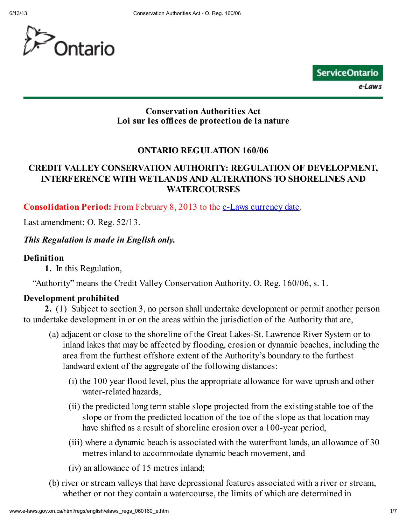



#### Conservation Authorities Act Loi sur les offices de protection de la nature

### ONTARIO REGULATION 160/06

### CREDIT VALLEY CONSERVATION AUTHORITY: REGULATION OF DEVELOPMENT, INTERFERENCE WITH WETLANDS AND ALTERATIONS TO SHORELINES AND **WATERCOURSES**

Consolidation Period: From February 8, 2013 to the e-Laws currency date.

Last amendment: O. Reg. 52/13.

#### This Regulation is made in English only.

#### Definition

1. In this Regulation,

"Authority" means the Credit Valley Conservation Authority. O. Reg. 160/06, s. 1.

#### Development prohibited

2. (1) Subject to section 3, no person shall undertake development or permit another person to undertake development in or on the areas within the jurisdiction of the Authority that are,

- (a) adjacent or close to the shoreline of the Great Lakes-St. Lawrence River System or to inland lakes that may be affected by flooding, erosion or dynamic beaches, including the area from the furthest offshore extent of the Authority's boundary to the furthest landward extent of the aggregate of the following distances:
	- (i) the 100 year flood level, plus the appropriate allowance for wave uprush and other water-related hazards,
	- (ii) the predicted long term stable slope projected from the existing stable toe of the slope or from the predicted location of the toe of the slope as that location may have shifted as a result of shoreline erosion over a 100-year period,
	- (iii) where a dynamic beach is associated with the waterfront lands, an allowance of 30 metres inland to accommodate dynamic beach movement, and
	- (iv) an allowance of 15 metres inland;
- (b) river or stream valleys that have depressional features associated with a river or stream, whether or not they contain a watercourse, the limits of which are determined in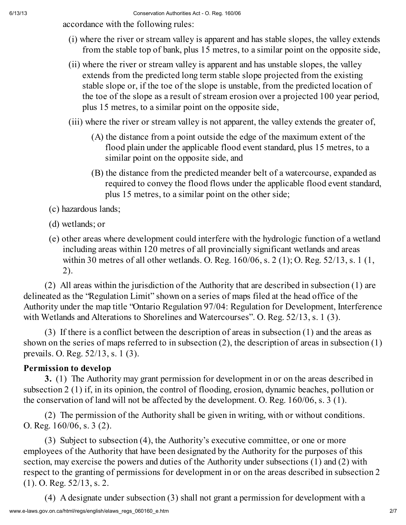accordance with the following rules:

- (i) where the river or stream valley is apparent and has stable slopes, the valley extends from the stable top of bank, plus 15 metres, to a similar point on the opposite side,
- (ii) where the river or stream valley is apparent and has unstable slopes, the valley extends from the predicted long term stable slope projected from the existing stable slope or, if the toe of the slope is unstable, from the predicted location of the toe of the slope as a result of stream erosion over a projected 100 year period, plus 15 metres, to a similar point on the opposite side,
- (iii) where the river or stream valley is not apparent, the valley extends the greater of,
	- (A) the distance from a point outside the edge of the maximum extent of the flood plain under the applicable flood event standard, plus 15 metres, to a similar point on the opposite side, and
	- (B) the distance from the predicted meander belt of a watercourse, expanded as required to convey the flood flows under the applicable flood event standard, plus 15 metres, to a similar point on the other side;

(c) hazardous lands;

- (d) wetlands; or
- (e) other areas where development could interfere with the hydrologic function of a wetland including areas within 120 metres of all provincially significant wetlands and areas within 30 metres of all other wetlands. O. Reg. 160/06, s. 2 (1); O. Reg. 52/13, s. 1 (1, 2).

(2) All areas within the jurisdiction of the Authority that are described in subsection (1) are delineated as the "Regulation Limit" shown on a series of maps filed at the head office of the Authority under the map title "Ontario Regulation 97/04: Regulation for Development, Interference with Wetlands and Alterations to Shorelines and Watercourses". O. Reg. 52/13, s. 1 (3).

(3) If there is a conflict between the description of areas in subsection (1) and the areas as shown on the series of maps referred to in subsection (2), the description of areas in subsection (1) prevails. O. Reg. 52/13, s. 1 (3).

# Permission to develop

3. (1) The Authority may grant permission for development in or on the areas described in subsection 2 (1) if, in its opinion, the control of flooding, erosion, dynamic beaches, pollution or the conservation of land will not be affected by the development. O. Reg. 160/06, s. 3 (1).

(2) The permission of the Authority shall be given in writing, with or without conditions. O. Reg. 160/06, s. 3 (2).

(3) Subject to subsection (4), the Authority's executive committee, or one or more employees of the Authority that have been designated by the Authority for the purposes of this section, may exercise the powers and duties of the Authority under subsections (1) and (2) with respect to the granting of permissions for development in or on the areas described in subsection 2 (1). O. Reg. 52/13, s. 2.

(4) A designate under subsection (3) shall not grant a permission for development with a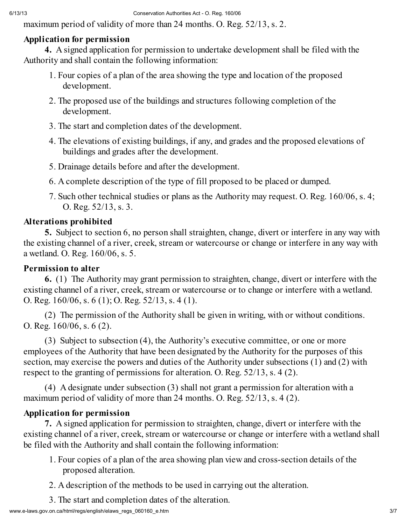maximum period of validity of more than 24 months. O. Reg. 52/13, s. 2.

### Application for permission

4. A signed application for permission to undertake development shall be filed with the Authority and shall contain the following information:

- 1. Four copies of a plan of the area showing the type and location of the proposed development.
- 2. The proposed use of the buildings and structures following completion of the development.
- 3. The start and completion dates of the development.
- 4. The elevations of existing buildings, if any, and grades and the proposed elevations of buildings and grades after the development.
- 5. Drainage details before and after the development.
- 6. A complete description of the type of fill proposed to be placed or dumped.
- 7. Such other technical studies or plans as the Authority may request. O. Reg. 160/06, s. 4; O. Reg. 52/13, s. 3.

## Alterations prohibited

5. Subject to section 6, no person shall straighten, change, divert or interfere in any way with the existing channel of a river, creek, stream or watercourse or change or interfere in any way with a wetland. O. Reg. 160/06, s. 5.

### Permission to alter

6. (1) The Authority may grant permission to straighten, change, divert or interfere with the existing channel of a river, creek, stream or watercourse or to change or interfere with a wetland. O. Reg. 160/06, s. 6 (1); O. Reg. 52/13, s. 4 (1).

(2) The permission of the Authority shall be given in writing, with or without conditions. O. Reg. 160/06, s. 6 (2).

(3) Subject to subsection (4), the Authority's executive committee, or one or more employees of the Authority that have been designated by the Authority for the purposes of this section, may exercise the powers and duties of the Authority under subsections (1) and (2) with respect to the granting of permissions for alteration. O. Reg. 52/13, s. 4 (2).

(4) A designate under subsection (3) shall not grant a permission for alteration with a maximum period of validity of more than 24 months. O. Reg. 52/13, s. 4 (2).

# Application for permission

7. A signed application for permission to straighten, change, divert or interfere with the existing channel of a river, creek, stream or watercourse or change or interfere with a wetland shall be filed with the Authority and shall contain the following information:

- 1. Four copies of a plan of the area showing plan view and cross-section details of the proposed alteration.
- 2. A description of the methods to be used in carrying out the alteration.
- 3. The start and completion dates of the alteration.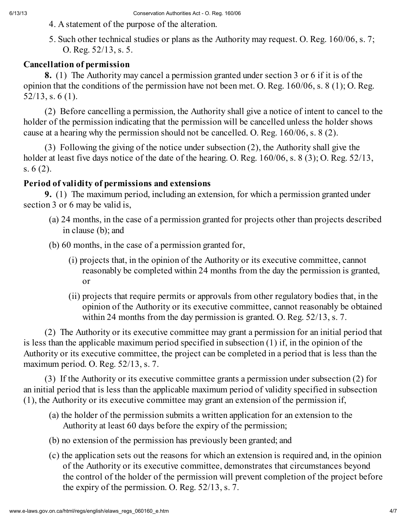- 4. A statement of the purpose of the alteration.
- 5. Such other technical studies or plans as the Authority may request. O. Reg. 160/06, s. 7; O. Reg. 52/13, s. 5.

# Cancellation of permission

8. (1) The Authority may cancel a permission granted under section 3 or 6 if it is of the opinion that the conditions of the permission have not been met. O. Reg. 160/06, s. 8 (1); O. Reg. 52/13, s. 6 (1).

(2) Before cancelling a permission, the Authority shall give a notice of intent to cancel to the holder of the permission indicating that the permission will be cancelled unless the holder shows cause at a hearing why the permission should not be cancelled. O. Reg. 160/06, s. 8 (2).

(3) Following the giving of the notice under subsection (2), the Authority shall give the holder at least five days notice of the date of the hearing. O. Reg. 160/06, s. 8 (3); O. Reg. 52/13, s. 6 (2).

# Period of validity of permissions and extensions

9. (1) The maximum period, including an extension, for which a permission granted under section 3 or 6 may be valid is,

- (a) 24 months, in the case of a permission granted for projects other than projects described in clause (b); and
- (b) 60 months, in the case of a permission granted for,
	- (i) projects that, in the opinion of the Authority or its executive committee, cannot reasonably be completed within 24 months from the day the permission is granted, or
	- (ii) projects that require permits or approvals from other regulatory bodies that, in the opinion of the Authority or its executive committee, cannot reasonably be obtained within 24 months from the day permission is granted. O. Reg. 52/13, s. 7.

(2) The Authority or its executive committee may grant a permission for an initial period that is less than the applicable maximum period specified in subsection (1) if, in the opinion of the Authority or its executive committee, the project can be completed in a period that is less than the maximum period. O. Reg. 52/13, s. 7.

(3) If the Authority or its executive committee grants a permission under subsection (2) for an initial period that is less than the applicable maximum period of validity specified in subsection (1), the Authority or its executive committee may grant an extension of the permission if,

- (a) the holder of the permission submits a written application for an extension to the Authority at least 60 days before the expiry of the permission;
- (b) no extension of the permission has previously been granted; and
- (c) the application sets out the reasons for which an extension is required and, in the opinion of the Authority or its executive committee, demonstrates that circumstances beyond the control of the holder of the permission will prevent completion of the project before the expiry of the permission. O. Reg. 52/13, s. 7.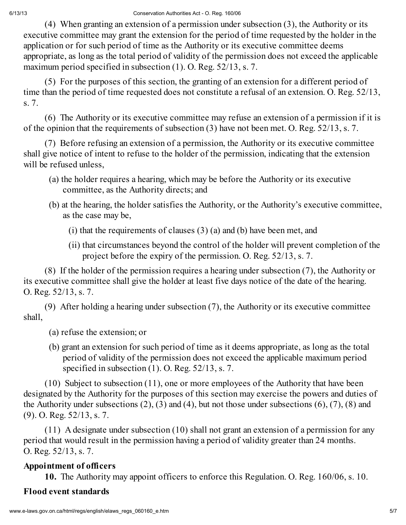(4) When granting an extension of a permission under subsection (3), the Authority or its executive committee may grant the extension for the period of time requested by the holder in the application or for such period of time as the Authority or its executive committee deems appropriate, as long as the total period of validity of the permission does not exceed the applicable maximum period specified in subsection (1). O. Reg. 52/13, s. 7.

(5) For the purposes of this section, the granting of an extension for a different period of time than the period of time requested does not constitute a refusal of an extension. O. Reg. 52/13, s. 7.

(6) The Authority or its executive committee may refuse an extension of a permission if it is of the opinion that the requirements of subsection (3) have not been met. O. Reg. 52/13, s. 7.

(7) Before refusing an extension of a permission, the Authority or its executive committee shall give notice of intent to refuse to the holder of the permission, indicating that the extension will be refused unless,

- (a) the holder requires a hearing, which may be before the Authority or its executive committee, as the Authority directs; and
- (b) at the hearing, the holder satisfies the Authority, or the Authority's executive committee, as the case may be,
	- (i) that the requirements of clauses (3) (a) and (b) have been met, and
	- (ii) that circumstances beyond the control of the holder will prevent completion of the project before the expiry of the permission. O. Reg. 52/13, s. 7.

(8) If the holder of the permission requires a hearing under subsection (7), the Authority or its executive committee shall give the holder at least five days notice of the date of the hearing. O. Reg. 52/13, s. 7.

(9) After holding a hearing under subsection (7), the Authority or its executive committee shall,

- (a) refuse the extension; or
- (b) grant an extension for such period of time as it deems appropriate, as long as the total period of validity of the permission does not exceed the applicable maximum period specified in subsection (1). O. Reg. 52/13, s. 7.

(10) Subject to subsection (11), one or more employees of the Authority that have been designated by the Authority for the purposes of this section may exercise the powers and duties of the Authority under subsections (2), (3) and (4), but not those under subsections (6), (7), (8) and (9). O. Reg. 52/13, s. 7.

(11) A designate under subsection (10) shall not grant an extension of a permission for any period that would result in the permission having a period of validity greater than 24 months. O. Reg. 52/13, s. 7.

# Appointment of officers

10. The Authority may appoint officers to enforce this Regulation. O. Reg. 160/06, s. 10.

# Flood event standards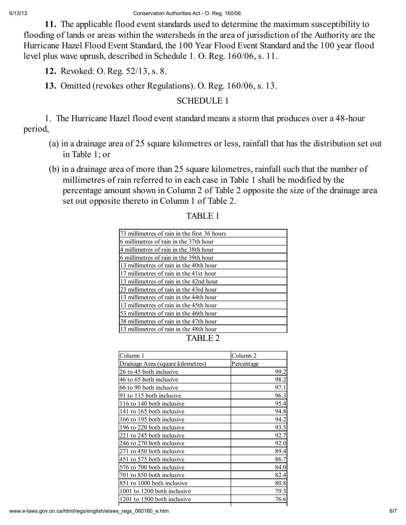11. The applicable flood event standards used to determine the maximum susceptibility to flooding of lands or areas within the watersheds in the area of jurisdiction of the Authority are the Hurricane Hazel Flood Event Standard, the 100 Year Flood Event Standard and the 100 year flood level plus wave uprush, described in Schedule 1. O. Reg. 160/06, s. 11.

12. Revoked: O. Reg. 52/13, s. 8.

13. Omitted (revokes other Regulations). O. Reg. 160/06, s. 13.

### SCHEDULE 1

1. The Hurricane Hazel flood event standard means a storm that produces over a 48-hour period,

- (a) in a drainage area of 25 square kilometres or less, rainfall that has the distribution set out in Table 1; or
- (b) in a drainage area of more than 25 square kilometres, rainfall such that the number of millimetres of rain referred to in each case in Table 1 shall be modified by the percentage amount shown in Column 2 of Table 2 opposite the size of the drainage area set out opposite thereto in Column 1 of Table 2.

| 73 millimetres of rain in the first 36 hours |
|----------------------------------------------|
| 6 millimetres of rain in the 37th hour       |
| 4 millimetres of rain in the 38th hour       |
| 6 millimetres of rain in the 39th hour       |
| 13 millimetres of rain in the 40th hour      |
| 17 millimetres of rain in the 41st hour      |
| 13 millimetres of rain in the 42nd hour      |
| 23 millimetres of rain in the 43rd hour      |
| 13 millimetres of rain in the 44th hour      |
| 13 millimetres of rain in the 45th hour      |
| 53 millimetres of rain in the 46th hour      |
| 38 millimetres of rain in the 47th hour      |
| 13 millimetres of rain in the 48th hour      |
|                                              |

### TABLE 1

| Column 1                          | Column 2   |
|-----------------------------------|------------|
| Drainage Area (square kilometres) | Percentage |
| 26 to 45 both inclusive           | 99.2       |
| 46 to 65 both inclusive           | 98.2       |
| 66 to 90 both inclusive           | 97.1       |
| 91 to 115 both inclusive          | 96.3       |
| 116 to 140 both inclusive         | 95.4       |
| 141 to 165 both inclusive         | 94.8       |
| 166 to 195 both inclusive         | 94.2       |
| 196 to 220 both inclusive         | 93.5       |
| 221 to 245 both inclusive         | 92.7       |
| 246 to 270 both inclusive         | 92.0       |
| 271 to 450 both inclusive         | 89.4       |
| 451 to 575 both inclusive         | 86.7       |
| 576 to 700 both inclusive         | 84.0       |
| 701 to 850 both inclusive         | 82.4       |
| 851 to 1000 both inclusive        | 80.8       |
| 1001 to 1200 both inclusive       | 79.3       |
| 1201 to 1500 both inclusive       | 76.6       |